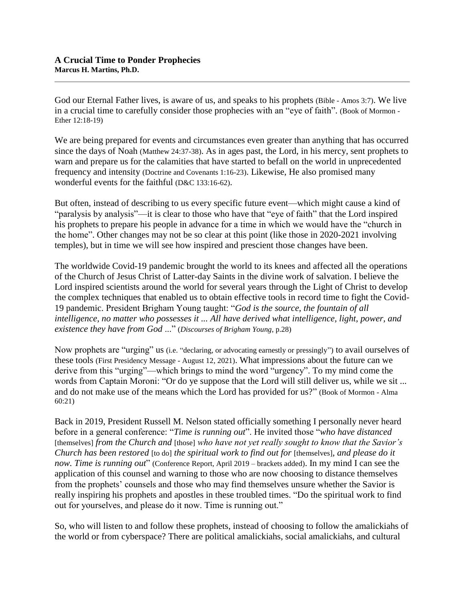God our Eternal Father lives, is aware of us, and speaks to his prophets (Bible - Amos 3:7). We live in a crucial time to carefully consider those prophecies with an "eye of faith". (Book of Mormon - Ether 12:18-19)

We are being prepared for events and circumstances even greater than anything that has occurred since the days of Noah (Matthew 24:37-38). As in ages past, the Lord, in his mercy, sent prophets to warn and prepare us for the calamities that have started to befall on the world in unprecedented frequency and intensity (Doctrine and Covenants 1:16-23). Likewise, He also promised many wonderful events for the faithful (D&C 133:16-62).

But often, instead of describing to us every specific future event—which might cause a kind of "paralysis by analysis"—it is clear to those who have that "eye of faith" that the Lord inspired his prophets to prepare his people in advance for a time in which we would have the "church in the home". Other changes may not be so clear at this point (like those in 2020-2021 involving temples), but in time we will see how inspired and prescient those changes have been.

The worldwide Covid-19 pandemic brought the world to its knees and affected all the operations of the Church of Jesus Christ of Latter-day Saints in the divine work of salvation. I believe the Lord inspired scientists around the world for several years through the Light of Christ to develop the complex techniques that enabled us to obtain effective tools in record time to fight the Covid-19 pandemic. President Brigham Young taught: "*God is the source, the fountain of all intelligence, no matter who possesses it ... All have derived what intelligence, light, power, and existence they have from God* ..." (*Discourses of Brigham Young*, p.28)

Now prophets are "urging" us (i.e. "declaring, or advocating earnestly or pressingly") to avail ourselves of these tools (First Presidency Message - August 12, 2021). What impressions about the future can we derive from this "urging"—which brings to mind the word "urgency". To my mind come the words from Captain Moroni: "Or do ye suppose that the Lord will still deliver us, while we sit ... and do not make use of the means which the Lord has provided for us?" (Book of Mormon - Alma 60:21)

Back in 2019, President Russell M. Nelson stated officially something I personally never heard before in a general conference: "*Time is running out*". He invited those "*who have distanced*  [themselves] *from the Church and* [those] *who have not yet really sought to know that the Savior's Church has been restored* [to do] *the spiritual work to find out for* [themselves]*, and please do it now. Time is running out*" (Conference Report, April 2019 – brackets added). In my mind I can see the application of this counsel and warning to those who are now choosing to distance themselves from the prophets' counsels and those who may find themselves unsure whether the Savior is really inspiring his prophets and apostles in these troubled times. "Do the spiritual work to find out for yourselves, and please do it now. Time is running out."

So, who will listen to and follow these prophets, instead of choosing to follow the amalickiahs of the world or from cyberspace? There are political amalickiahs, social amalickiahs, and cultural